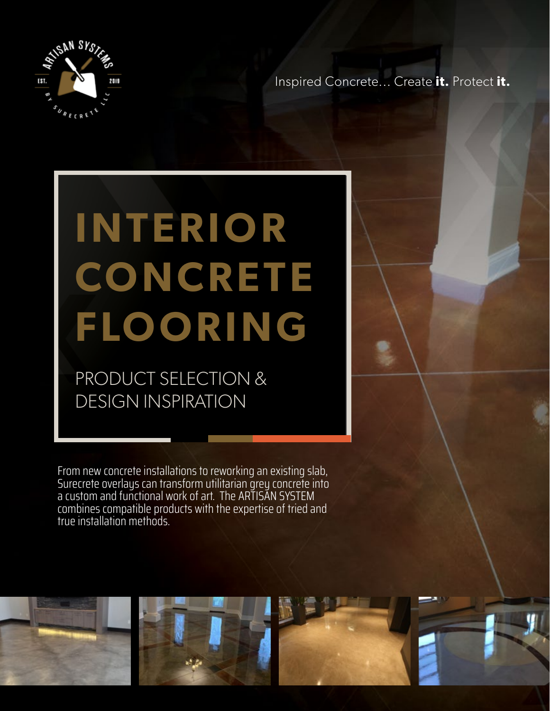

Inspired Concrete... Create **it.** Protect **it.**

# **INTERIOR CONCRETE FLOORING**

PRODUCT SELECTION & DESIGN INSPIRATION

From new concrete installations to reworking an existing slab, Surecrete overlays can transform utilitarian grey concrete into a custom and functional work of art. The ARTISAN SYSTEM combines compatible products with the expertise of tried and true installation methods.

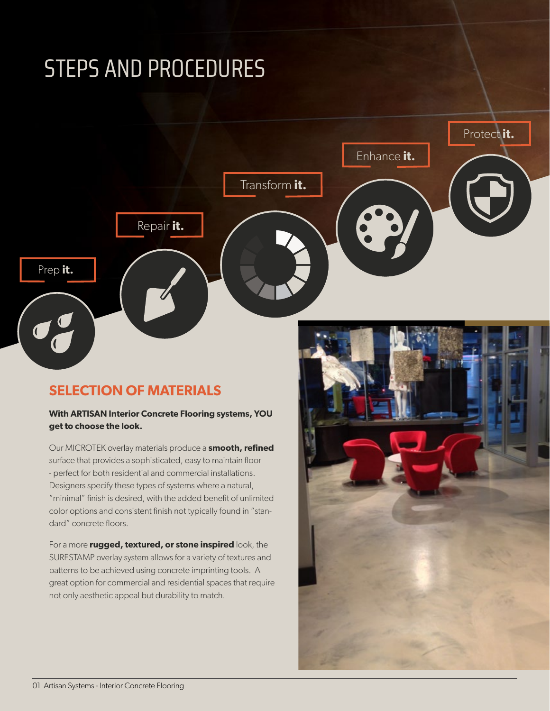## STEPS AND PROCEDURES



### **SELECTION OF MATERIALS**

#### **With ARTISAN Interior Concrete Flooring systems, YOU get to choose the look.**

Our MICROTEK overlay materials produce a **smooth, refined** surface that provides a sophisticated, easy to maintain floor - perfect for both residential and commercial installations. Designers specify these types of systems where a natural, "minimal" finish is desired, with the added benefit of unlimited color options and consistent finish not typically found in "standard" concrete floors.

For a more **rugged, textured, or stone inspired** look, the SURESTAMP overlay system allows for a variety of textures and patterns to be achieved using concrete imprinting tools. A great option for commercial and residential spaces that require not only aesthetic appeal but durability to match.

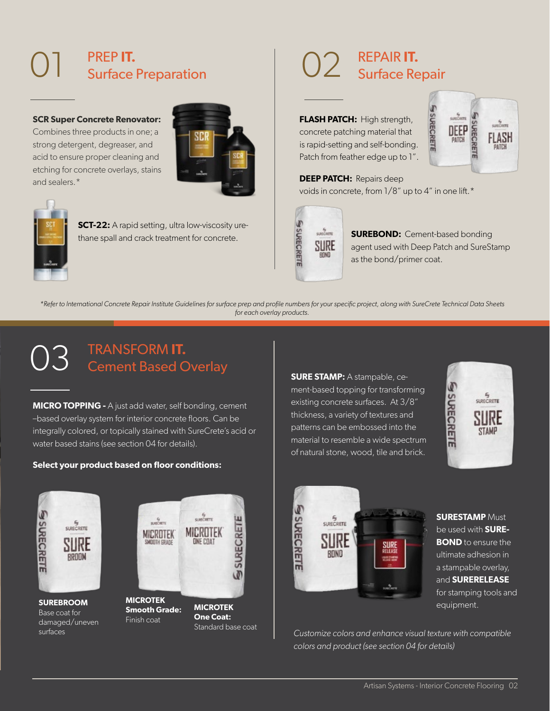## 01 PREP **IT.**  Surface Preparation

**SCR Super Concrete Renovator:**

Combines three products in one; a strong detergent, degreaser, and acid to ensure proper cleaning and etching for concrete overlays, stains and sealers.\*





**SCT-22:** A rapid setting, ultra low-viscosity urethane spall and crack treatment for concrete.

## 02 REPAIR **IT.**  Surface Repair

**FLASH PATCH:** High strength, concrete patching material that is rapid-setting and self-bonding. Patch from feather edge up to 1".



**DEEP PATCH:** Repairs deep voids in concrete, from 1/8" up to 4" in one lift.\*



**SUREBOND:** Cement-based bonding agent used with Deep Patch and SureStamp as the bond/primer coat.

*\*Refer to International Concrete Repair Institute Guidelines for surface prep and profile numbers for your specific project, along with SureCrete Technical Data Sheets for each overlay products.*

#### $\mathcal{L}$ TRANSFORM **IT.**  Cement Based Overlay

**MICRO TOPPING -** A just add water, self bonding, cement –based overlay system for interior concrete floors. Can be integrally colored, or topically stained with SureCrete's acid or water based stains (see section 04 for details).

#### **Select your product based on floor conditions:**

**SURE STAMP:** A stampable, cement-based topping for transforming existing concrete surfaces. At 3/8" thickness, a variety of textures and patterns can be embossed into the material to resemble a wide spectrum of natural stone, wood, tile and brick.





**SURESTAMP** Must be used with **SURE-BOND** to ensure the ultimate adhesion in a stampable overlay, and **SURERELEASE**  for stamping tools and equipment.

*Customize colors and enhance visual texture with compatible colors and product (see section 04 for details)*



**SUREBROOM** Base coat for damaged/uneven surfaces



**MICROTEK One Coat:**  Standard base coat

**SURECRETE** 

w